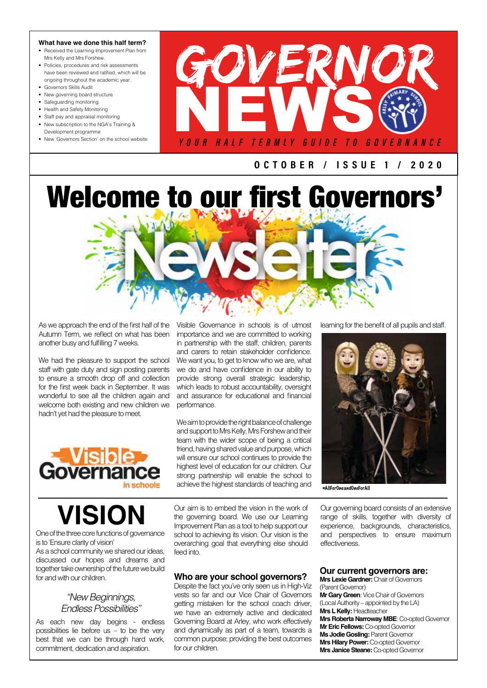### **What have we done this half term?**

- Received the Learning Improvement Plan from Mrs Kelly and Mrs Forshew.
- Policies, procedures and risk assessments have been reviewed and ratified, which will be ongoing throughout the academic year.
- Governors Skills Audit • New governing board structure
- 
- Safeguarding monitoring • Health and Safety Monitoring
- Staff pay and appraisal monitoring
- New subscription to the NGA's Training &
- Development programme



OCTOBER / I SSUE 1 / 2 0 2 0

# Welcome to our first Governors'

As we approach the end of the first half of the Autumn Term, we reflect on what has been another busy and fulfilling 7 weeks.

We had the pleasure to support the school staff with gate duty and sign posting parents to ensure a smooth drop off and collection for the first week back in September. It was wonderful to see all the children again and welcome both existing and new children we hadn't yet had the pleasure to meet.

Visible Governance in schools is of utmost importance and we are committed to working in partnership with the staff, children, parents and carers to retain stakeholder confidence. We want you, to get to know who we are, what we do and have confidence in our ability to provide strong overall strategic leadership, which leads to robust accountability, oversight and assurance for educational and financial performance.

We aim to provide the right balance of challenge and support to Mrs Kelly, Mrs Forshew and their team with the wider scope of being a critical friend, having shared value and purpose, which will ensure our school continues to provide the highest level of education for our children. Our strong partnership will enable the school to achieve the highest standards of teaching and #AllForOneandOneForAll

learning for the benefit of all pupils and staff.



**VISION** Our aim is to embed the vision in the work of Our governing board consists of an extensive the governing board. We use our Learning range of skills, together with diversity of range of skills, together with diversity of experience, backgrounds, characteristics, and perspectives to ensure maximum effectiveness.

One of the three core functions of governance is to 'Ensure clarity of vision'

As a school community we shared our ideas, discussed our hopes and dreams and together take ownership of the future we build for and with our children.

## *"New Beginnings, Endless Possibilities"*

As each new day begins - endless possibilities lie before  $us - to$  be the very best that we can be through hard work, commitment, dedication and aspiration.

Our aim is to embed the vision in the work of the governing board. We use our Learning Improvement Plan as a tool to help support our school to achieving its vision. Our vision is the overarching goal that everything else should feed into.

### **Who are your school governors?**

Despite the fact you've only seen us in High-Viz vests so far and our Vice Chair of Governors getting mistaken for the school coach driver, we have an extremely active and dedicated Governing Board at Arley, who work effectively and dynamically as part of a team, towards a common purpose; providing the best outcomes for our children.

**Mrs Lexie Gardner:** Chair of Governors (Parent Governor) **Mr Gary Green**: Vice Chair of Governors (Local Authority – appointed by the LA) **Mrs L Kelly:** Headteacher **Mrs Roberta Narroway MBE**: Co-opted Governor **Mr Eric Fellows: Co-opted Governor Ms Jodie Gosling: Parent Governor Mrs Hilary Power:** Co-opted Governor **Mrs Janice Steane:** Co-opted Governor

**Our current governors are:**